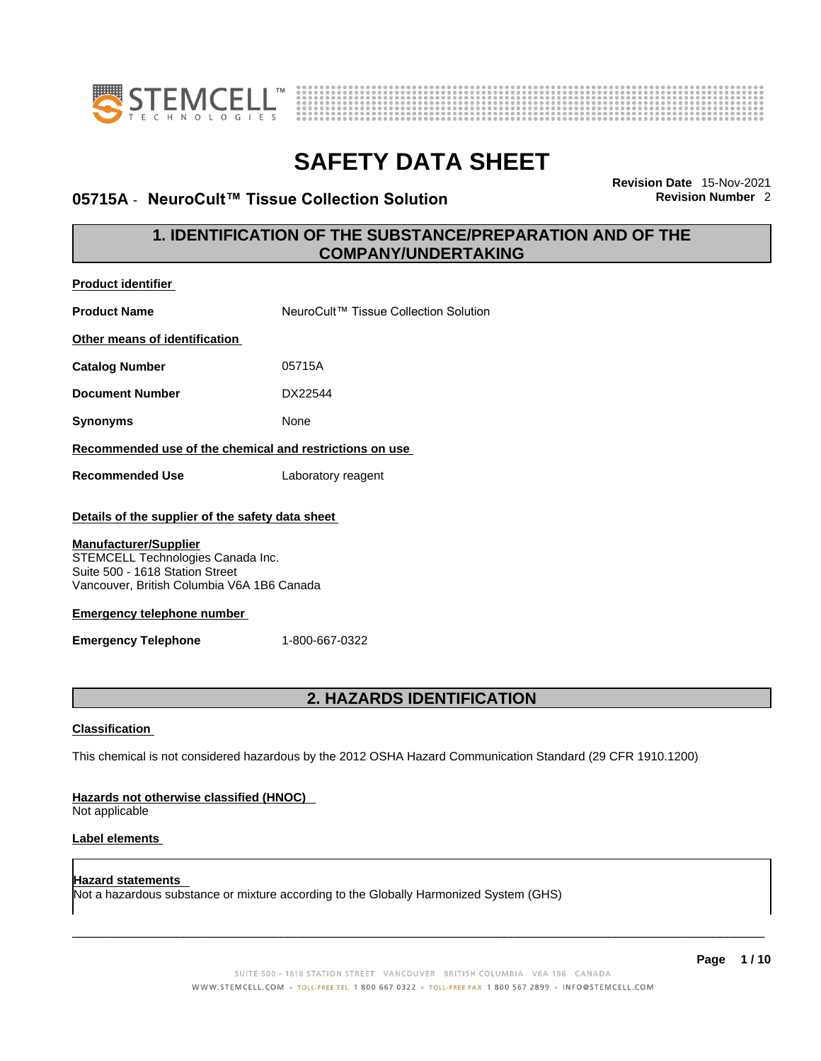



### **05715A** - NeuroCult™ Tissue Collection Solution

**Revision Date** 15-Nov-2021

### **1. IDENTIFICATION OF THE SUBSTANCE/PREPARATION AND OF THE COMPANY/UNDERTAKING**

| <b>Product identifier</b>                                                                                                                                                                                                                                                                   |                                                                                                             |  |
|---------------------------------------------------------------------------------------------------------------------------------------------------------------------------------------------------------------------------------------------------------------------------------------------|-------------------------------------------------------------------------------------------------------------|--|
| <b>Product Name</b>                                                                                                                                                                                                                                                                         | NeuroCult™ Tissue Collection Solution                                                                       |  |
| Other means of identification                                                                                                                                                                                                                                                               |                                                                                                             |  |
| <b>Catalog Number</b>                                                                                                                                                                                                                                                                       | 05715A                                                                                                      |  |
| <b>Document Number</b>                                                                                                                                                                                                                                                                      | DX22544                                                                                                     |  |
| <b>Synonyms</b>                                                                                                                                                                                                                                                                             | None                                                                                                        |  |
| Recommended use of the chemical and restrictions on use                                                                                                                                                                                                                                     |                                                                                                             |  |
| <b>Recommended Use</b>                                                                                                                                                                                                                                                                      | Laboratory reagent                                                                                          |  |
| Details of the supplier of the safety data sheet<br><b>Manufacturer/Supplier</b><br>STEMCELL Technologies Canada Inc.<br>Suite 500 - 1618 Station Street<br>Vancouver, British Columbia V6A 1B6 Canada<br><b>Emergency telephone number</b><br><b>Emergency Telephone</b><br>1-800-667-0322 |                                                                                                             |  |
|                                                                                                                                                                                                                                                                                             | <b>2. HAZARDS IDENTIFICATION</b>                                                                            |  |
| <b>Classification</b>                                                                                                                                                                                                                                                                       |                                                                                                             |  |
|                                                                                                                                                                                                                                                                                             | This chemical is not considered hazardous by the 2012 OSHA Hazard Communication Standard (29 CFR 1910.1200) |  |
| Hazards not otherwise classified (HNOC)<br>Not applicable                                                                                                                                                                                                                                   |                                                                                                             |  |
| Label elements                                                                                                                                                                                                                                                                              |                                                                                                             |  |
|                                                                                                                                                                                                                                                                                             |                                                                                                             |  |

Not a hazardous substance or mixture according to the Globally Harmonized System (GHS)

**Hazard statements**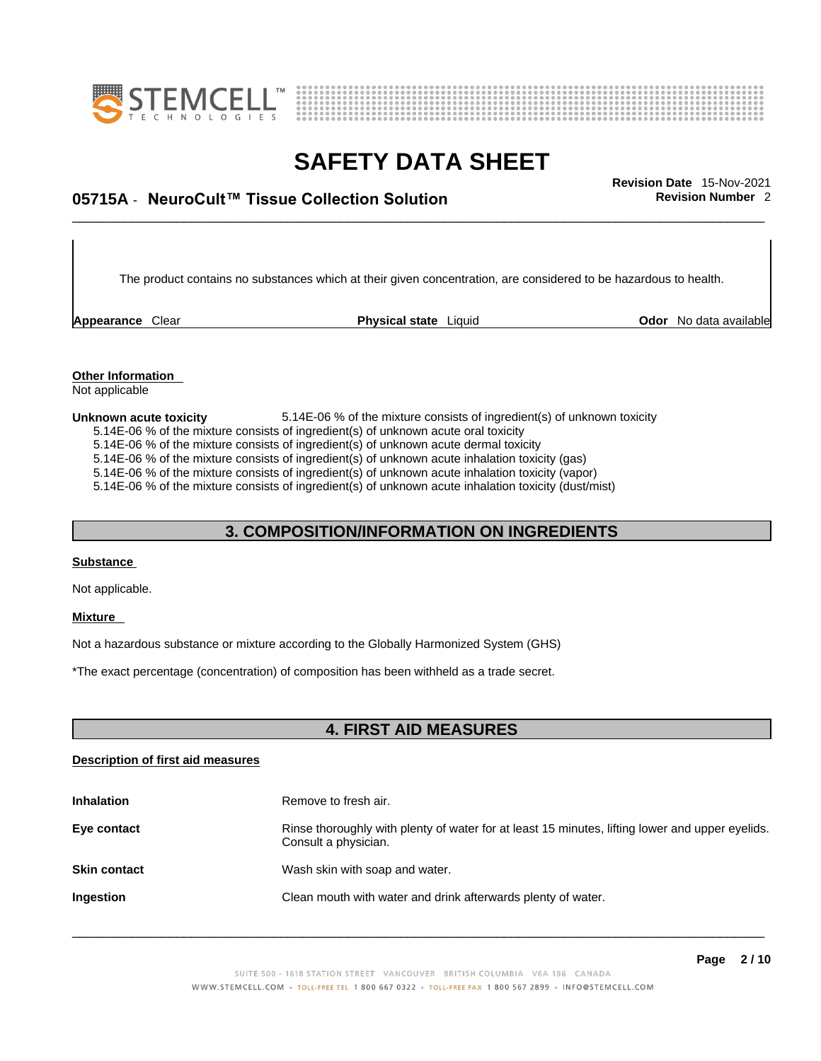



## \_\_\_\_\_\_\_\_\_\_\_\_\_\_\_\_\_\_\_\_\_\_\_\_\_\_\_\_\_\_\_\_\_\_\_\_\_\_\_\_\_\_\_\_\_\_\_\_\_\_\_\_\_\_\_\_\_\_\_\_\_\_\_\_\_\_\_\_\_\_\_\_\_\_\_\_\_\_\_\_\_\_\_\_\_\_\_\_\_\_\_\_\_ **Revision Date** 15-Nov-2021 **05715A** - **NeuroCult™ Tissue Collection Solution Revision Number** 2

The product contains no substances which at their given concentration, are considered to be hazardous to health.

**Appearance** Clear **Physical state** Liquid

**Odor** No data available

**Other Information**  Not applicable

#### **Unknown acute toxicity** 5.14E-06 % of the mixture consists of ingredient(s) of unknown toxicity

5.14E-06 % of the mixture consists of ingredient(s) of unknown acute oral toxicity

 $5.14E-06$  % of the mixture consists of ingredient(s) of unknown acute dermal toxicity

5.14E-06 % of the mixture consists of ingredient(s) of unknown acute inhalation toxicity (gas)

5.14E-06 % of the mixture consists of ingredient(s) of unknown acute inhalation toxicity (vapor)

5.14E-06 % of the mixture consists of ingredient(s) of unknown acute inhalation toxicity (dust/mist)

### **3. COMPOSITION/INFORMATION ON INGREDIENTS**

### **Substance**

Not applicable.

#### **Mixture**

Not a hazardous substance or mixture according to the Globally Harmonized System (GHS)

\*The exact percentage (concentration) of composition has been withheld as a trade secret.

### **4. FIRST AID MEASURES**

### **Description of first aid measures**

| <b>Inhalation</b>   | Remove to fresh air.                                                                                                    |
|---------------------|-------------------------------------------------------------------------------------------------------------------------|
| Eye contact         | Rinse thoroughly with plenty of water for at least 15 minutes, lifting lower and upper eyelids.<br>Consult a physician. |
| <b>Skin contact</b> | Wash skin with soap and water.                                                                                          |
| Ingestion           | Clean mouth with water and drink afterwards plenty of water.                                                            |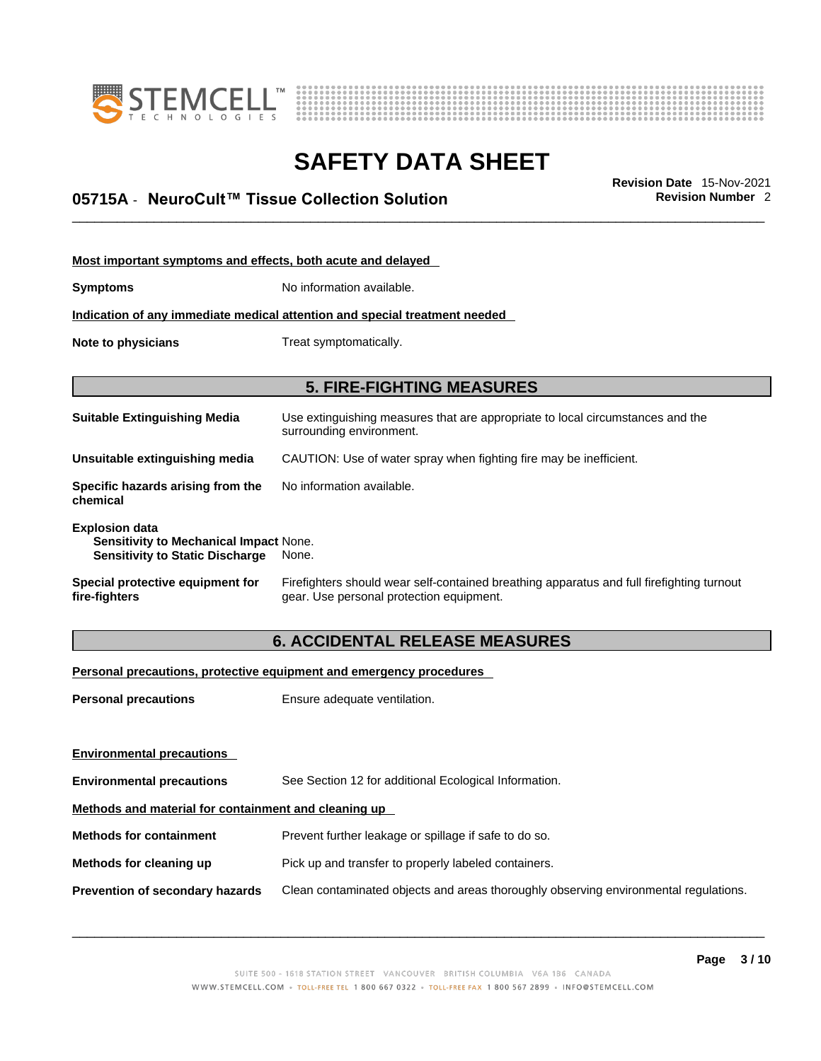



## \_\_\_\_\_\_\_\_\_\_\_\_\_\_\_\_\_\_\_\_\_\_\_\_\_\_\_\_\_\_\_\_\_\_\_\_\_\_\_\_\_\_\_\_\_\_\_\_\_\_\_\_\_\_\_\_\_\_\_\_\_\_\_\_\_\_\_\_\_\_\_\_\_\_\_\_\_\_\_\_\_\_\_\_\_\_\_\_\_\_\_\_\_ **Revision Date** 15-Nov-2021 **05715A** - **NeuroCult™ Tissue Collection Solution Revision Number** 2

| Most important symptoms and effects, both acute and delayed                                                               |                                                                                                                                       |  |
|---------------------------------------------------------------------------------------------------------------------------|---------------------------------------------------------------------------------------------------------------------------------------|--|
| <b>Symptoms</b>                                                                                                           | No information available.                                                                                                             |  |
| Indication of any immediate medical attention and special treatment needed                                                |                                                                                                                                       |  |
| Note to physicians                                                                                                        | Treat symptomatically.                                                                                                                |  |
|                                                                                                                           |                                                                                                                                       |  |
|                                                                                                                           | <b>5. FIRE-FIGHTING MEASURES</b>                                                                                                      |  |
| <b>Suitable Extinguishing Media</b>                                                                                       | Use extinguishing measures that are appropriate to local circumstances and the<br>surrounding environment.                            |  |
| Unsuitable extinguishing media                                                                                            | CAUTION: Use of water spray when fighting fire may be inefficient.                                                                    |  |
| Specific hazards arising from the<br>chemical                                                                             | No information available.                                                                                                             |  |
| <b>Explosion data</b><br><b>Sensitivity to Mechanical Impact None.</b><br><b>Sensitivity to Static Discharge</b><br>None. |                                                                                                                                       |  |
| Special protective equipment for<br>fire-fighters                                                                         | Firefighters should wear self-contained breathing apparatus and full firefighting turnout<br>gear. Use personal protection equipment. |  |

### **6. ACCIDENTAL RELEASE MEASURES**

### **Personal precautions, protective equipment and emergency procedures**

| <b>Personal precautions</b>                          | Ensure adequate ventilation.                                                         |  |
|------------------------------------------------------|--------------------------------------------------------------------------------------|--|
|                                                      |                                                                                      |  |
| <b>Environmental precautions</b>                     |                                                                                      |  |
| <b>Environmental precautions</b>                     | See Section 12 for additional Ecological Information.                                |  |
| Methods and material for containment and cleaning up |                                                                                      |  |
| <b>Methods for containment</b>                       | Prevent further leakage or spillage if safe to do so.                                |  |
| Methods for cleaning up                              | Pick up and transfer to properly labeled containers.                                 |  |
| Prevention of secondary hazards                      | Clean contaminated objects and areas thoroughly observing environmental regulations. |  |
|                                                      |                                                                                      |  |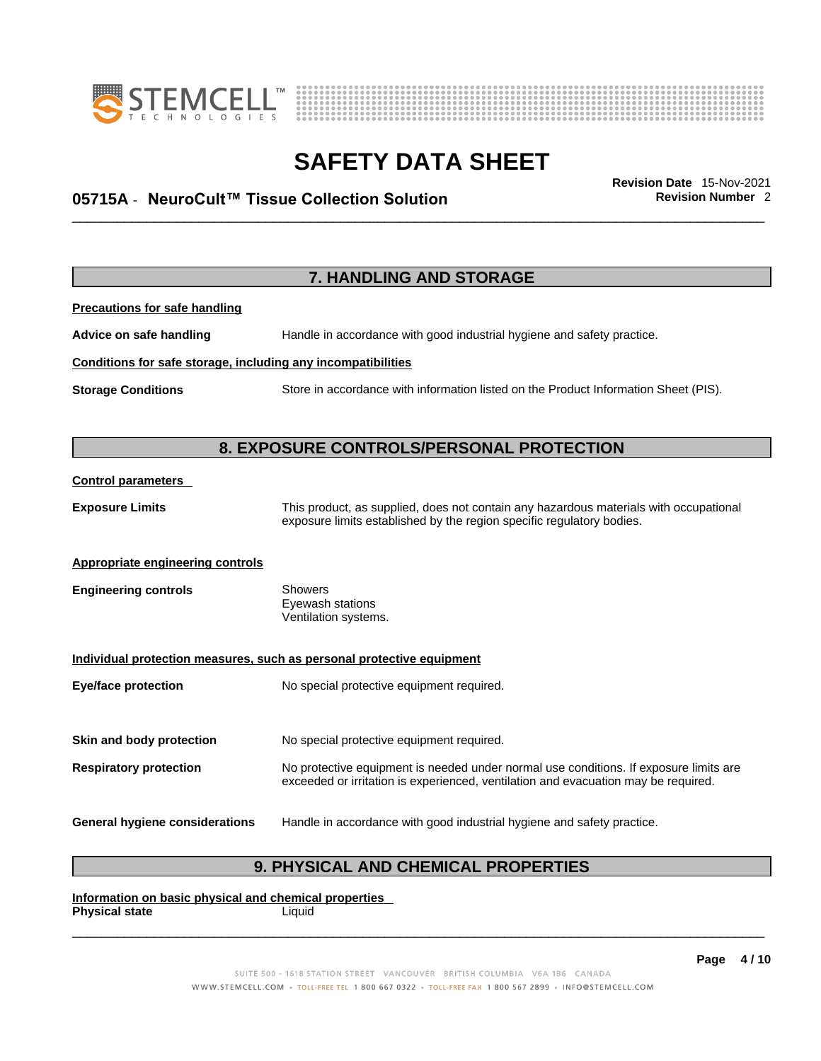



## \_\_\_\_\_\_\_\_\_\_\_\_\_\_\_\_\_\_\_\_\_\_\_\_\_\_\_\_\_\_\_\_\_\_\_\_\_\_\_\_\_\_\_\_\_\_\_\_\_\_\_\_\_\_\_\_\_\_\_\_\_\_\_\_\_\_\_\_\_\_\_\_\_\_\_\_\_\_\_\_\_\_\_\_\_\_\_\_\_\_\_\_\_ **Revision Date** 15-Nov-2021 **05715A** - **NeuroCult™ Tissue Collection Solution Revision Number** 2

| <b>Precautions for safe handling</b>                         |                                                                        |  |
|--------------------------------------------------------------|------------------------------------------------------------------------|--|
| Advice on safe handling                                      | Handle in accordance with good industrial hygiene and safety practice. |  |
| Conditions for safe storage, including any incompatibilities |                                                                        |  |

**7. HANDLING AND STORAGE** 

**Storage Conditions** Store in accordance with information listed on the Product Information Sheet (PIS).

### **8. EXPOSURE CONTROLS/PERSONAL PROTECTION**

### **Control parameters**

**Exposure Limits** This product, as supplied, does not contain any hazardous materials with occupational exposure limits established by the region specific regulatory bodies.

### **Appropriate engineering controls**

**Engineering controls** Showers Eyewash stations Ventilation systems.

### **Individual protection measures, such as personal protective equipment**

**Eye/face protection** No special protective equipment required.

**Skin and body protection** No special protective equipment required.

**Respiratory protection** No protective equipment is needed under normal use conditions. If exposure limits are exceeded or irritation is experienced, ventilation and evacuation may be required.

### **General hygiene considerations** Handle in accordance with good industrial hygiene and safety practice.

### **9. PHYSICAL AND CHEMICAL PROPERTIES**

**Information on basic physical and chemical properties Physical state** Liquid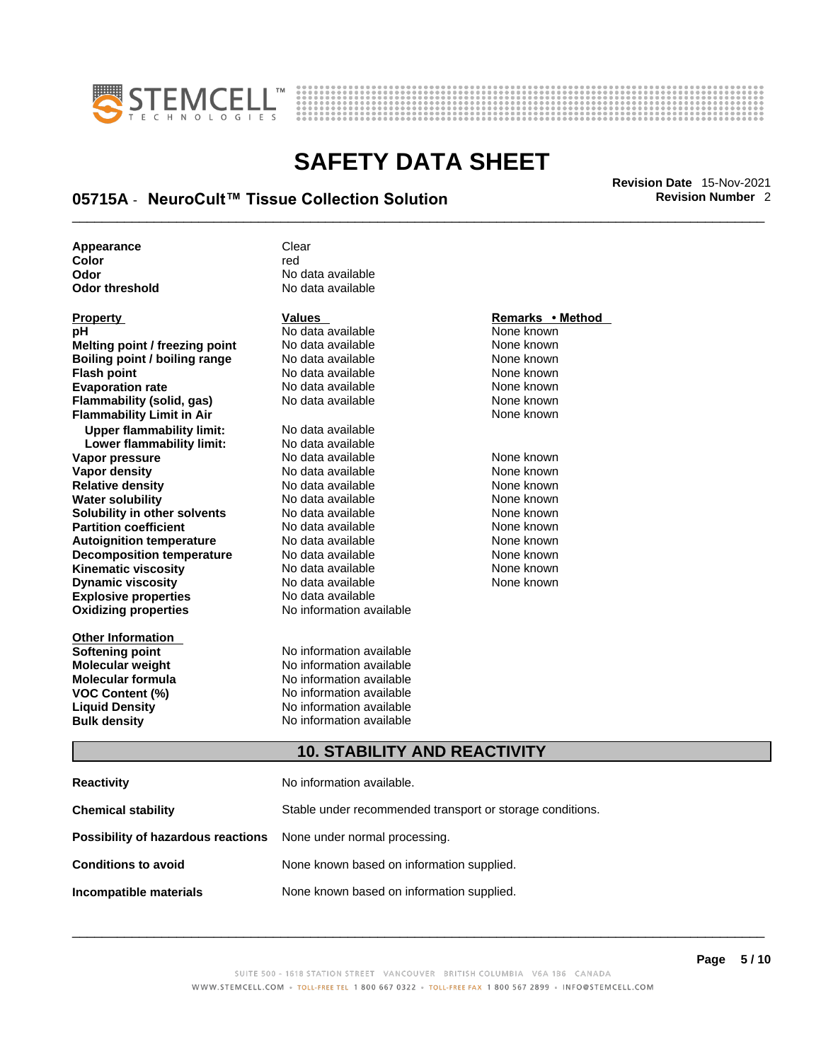



## \_\_\_\_\_\_\_\_\_\_\_\_\_\_\_\_\_\_\_\_\_\_\_\_\_\_\_\_\_\_\_\_\_\_\_\_\_\_\_\_\_\_\_\_\_\_\_\_\_\_\_\_\_\_\_\_\_\_\_\_\_\_\_\_\_\_\_\_\_\_\_\_\_\_\_\_\_\_\_\_\_\_\_\_\_\_\_\_\_\_\_\_\_ **Revision Date** 15-Nov-2021 **05715A** - **NeuroCult™ Tissue Collection Solution Revision Number** 2

| Appearance     | Clear             |
|----------------|-------------------|
| Color          | red               |
| Odor           | No data available |
| Odor threshold | No data available |

| Property                         |
|----------------------------------|
| рH                               |
| Melting point / freezing point   |
| Boiling point / boiling range    |
| <b>Flash point</b>               |
| <b>Evaporation rate</b>          |
| Flammability (solid, gas)        |
| <b>Flammability Limit in Air</b> |
| <b>Upper flammability limit:</b> |
| Lower flammability limit:        |
| Vapor pressure                   |
| <b>Vapor density</b>             |
| <b>Relative density</b>          |
| Water solubility                 |
| Solubility in other solvents     |
| <b>Partition coefficient</b>     |
| <b>Autoignition temperature</b>  |
| <b>Decomposition temperature</b> |
| Kinematic viscosity              |
| <b>Dynamic viscosity</b>         |
| <b>Explosive properties</b>      |
| <b>Oxidizing properties</b>      |
|                                  |

**Other Information Bulk density No information available** 

**No data available** None known **No data available None known Roidata available 1999 Mone known**<br> **Boiling** None known<br> **Roidata available None known No data available Evaporation No data available None known**<br> **Evaporation** None known<br>
None known **No data available No data available Lower flammability limit:** No data available **Vapora Available None known**<br> **Pressure No data available None known**<br>
None known **Vapor density Available** None known<br>
No data available None known **No data available No data available None known** 

**Oxidizing properties** No information available **Softening point**<br> **Molecular weight**<br> **Molecular weight**<br> **Molecular weight**<br> **Molecular weight No information available Molecular formula** No information available **VOC Content (%)**<br>
Liquid Density<br>
No information available<br>
No information available **No information available** 

**Explosive properties** No data available

**No data available** 

### **Property Values Remarks • Method**

**None known** 

**Solution Islam in Solution None known** None known **Partition Partition Coefficient Coefficient Coefficient Coefficient Coefficient Coefficient Coefficient Coefficient Coefficient Coefficient Coefficient Coefficient Coefficient Coefficient C Automische Munder None known**<br> **Automische None known**<br>
None known No data available **None known** No data available None known

### **10. STABILITY AND REACTIVITY**

| Reactivity                                                              | No information available.                                 |
|-------------------------------------------------------------------------|-----------------------------------------------------------|
| Chemical stability                                                      | Stable under recommended transport or storage conditions. |
| <b>Possibility of hazardous reactions</b> None under normal processing. |                                                           |
| <b>Conditions to avoid</b>                                              | None known based on information supplied.                 |
| Incompatible materials                                                  | None known based on information supplied.                 |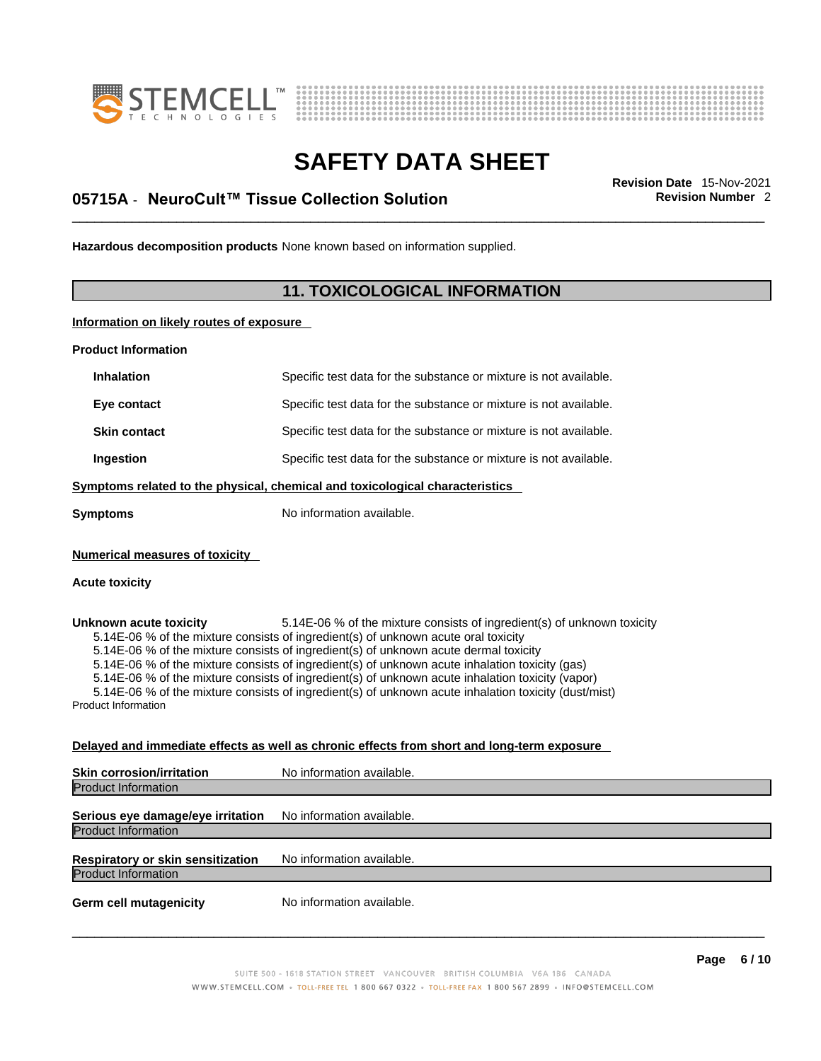



## \_\_\_\_\_\_\_\_\_\_\_\_\_\_\_\_\_\_\_\_\_\_\_\_\_\_\_\_\_\_\_\_\_\_\_\_\_\_\_\_\_\_\_\_\_\_\_\_\_\_\_\_\_\_\_\_\_\_\_\_\_\_\_\_\_\_\_\_\_\_\_\_\_\_\_\_\_\_\_\_\_\_\_\_\_\_\_\_\_\_\_\_\_ **Revision Date** 15-Nov-2021 **05715A** - **NeuroCult™ Tissue Collection Solution Revision Number** 2

**Hazardous decomposition products** None known based on information supplied.

### **11. TOXICOLOGICAL INFORMATION**

**Information on likely routes of exposure**

**Product Information**

| <b>Inhalation</b>                                                            | Specific test data for the substance or mixture is not available. |  |
|------------------------------------------------------------------------------|-------------------------------------------------------------------|--|
| Eye contact                                                                  | Specific test data for the substance or mixture is not available. |  |
| <b>Skin contact</b>                                                          | Specific test data for the substance or mixture is not available. |  |
| Ingestion                                                                    | Specific test data for the substance or mixture is not available. |  |
| Symptoms related to the physical, chemical and toxicological characteristics |                                                                   |  |
| Symptoms                                                                     | No information available.                                         |  |
|                                                                              |                                                                   |  |

**Numerical measures of toxicity**

#### **Acute toxicity**

**Unknown acute toxicity** 5.14E-06 % of the mixture consists of ingredient(s) of unknown toxicity 5.14E-06 % of the mixture consists of ingredient(s) of unknown acute oral toxicity

5.14E-06 % of the mixture consists of ingredient(s) of unknown acute dermal toxicity

5.14E-06 % of the mixture consists of ingredient(s) of unknown acute inhalation toxicity (gas)

5.14E-06 % of the mixture consists of ingredient(s) of unknown acute inhalation toxicity (vapor)

5.14E-06 % of the mixture consists of ingredient(s) of unknown acute inhalation toxicity (dust/mist)

Product Information

### **Delayed and immediate effects as well as chronic effects from short and long-term exposure**

| <b>Skin corrosion/irritation</b>                                | No information available. |
|-----------------------------------------------------------------|---------------------------|
| <b>Product Information</b>                                      |                           |
| Serious eye damage/eye irritation<br><b>Product Information</b> | No information available. |
| Respiratory or skin sensitization<br><b>Product Information</b> | No information available. |
| <b>Germ cell mutagenicity</b>                                   | No information available. |
|                                                                 |                           |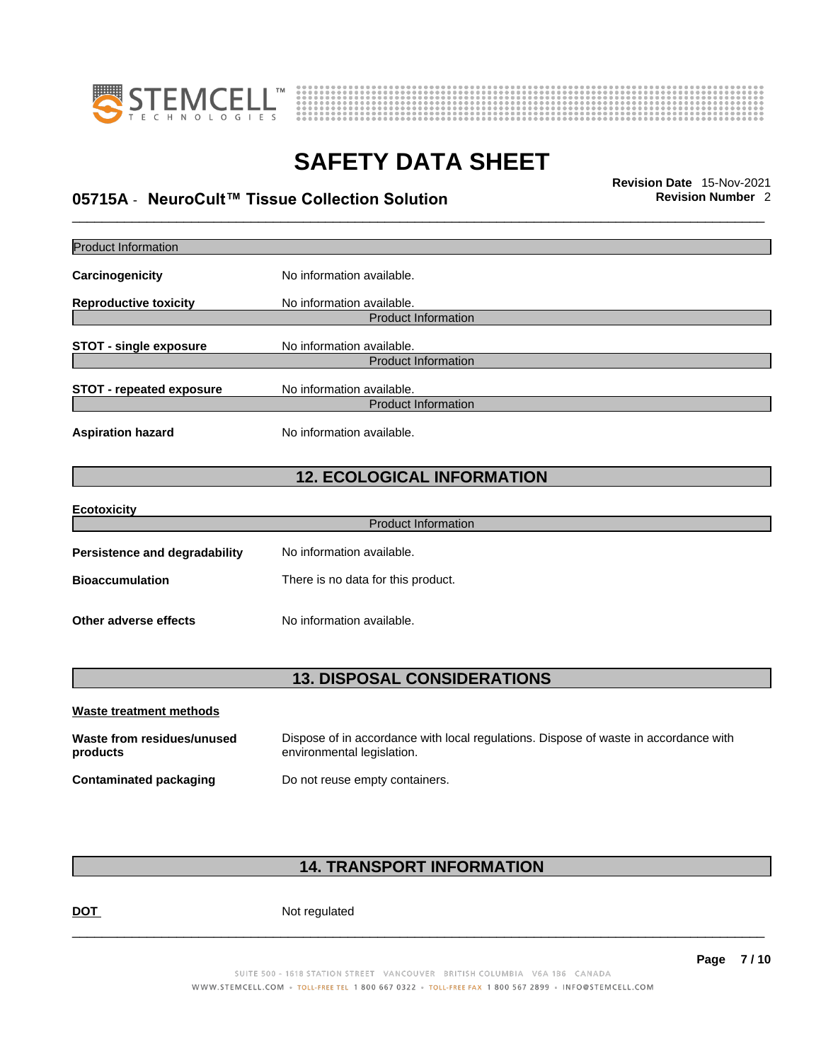



## \_\_\_\_\_\_\_\_\_\_\_\_\_\_\_\_\_\_\_\_\_\_\_\_\_\_\_\_\_\_\_\_\_\_\_\_\_\_\_\_\_\_\_\_\_\_\_\_\_\_\_\_\_\_\_\_\_\_\_\_\_\_\_\_\_\_\_\_\_\_\_\_\_\_\_\_\_\_\_\_\_\_\_\_\_\_\_\_\_\_\_\_\_ **Revision Date** 15-Nov-2021 **05715A** - **NeuroCult™ Tissue Collection Solution Revision Number** 2

| Product Information                    |                                                                                                                    |  |
|----------------------------------------|--------------------------------------------------------------------------------------------------------------------|--|
| Carcinogenicity                        | No information available.                                                                                          |  |
| <b>Reproductive toxicity</b>           | No information available.<br><b>Product Information</b>                                                            |  |
| <b>STOT - single exposure</b>          | No information available.<br><b>Product Information</b>                                                            |  |
| <b>STOT - repeated exposure</b>        | No information available.<br><b>Product Information</b>                                                            |  |
| <b>Aspiration hazard</b>               | No information available.                                                                                          |  |
|                                        | <b>12. ECOLOGICAL INFORMATION</b>                                                                                  |  |
| Ecotoxicity                            |                                                                                                                    |  |
|                                        | <b>Product Information</b>                                                                                         |  |
| Persistence and degradability          | No information available.                                                                                          |  |
| <b>Bioaccumulation</b>                 | There is no data for this product.                                                                                 |  |
| Other adverse effects                  | No information available.                                                                                          |  |
| <b>13. DISPOSAL CONSIDERATIONS</b>     |                                                                                                                    |  |
| Waste treatment methods                |                                                                                                                    |  |
| Waste from residues/unused<br>products | Dispose of in accordance with local regulations. Dispose of waste in accordance with<br>environmental legislation. |  |
| <b>Contaminated packaging</b>          | Do not reuse empty containers.                                                                                     |  |
|                                        |                                                                                                                    |  |

### **14. TRANSPORT INFORMATION**

DOT Not regulated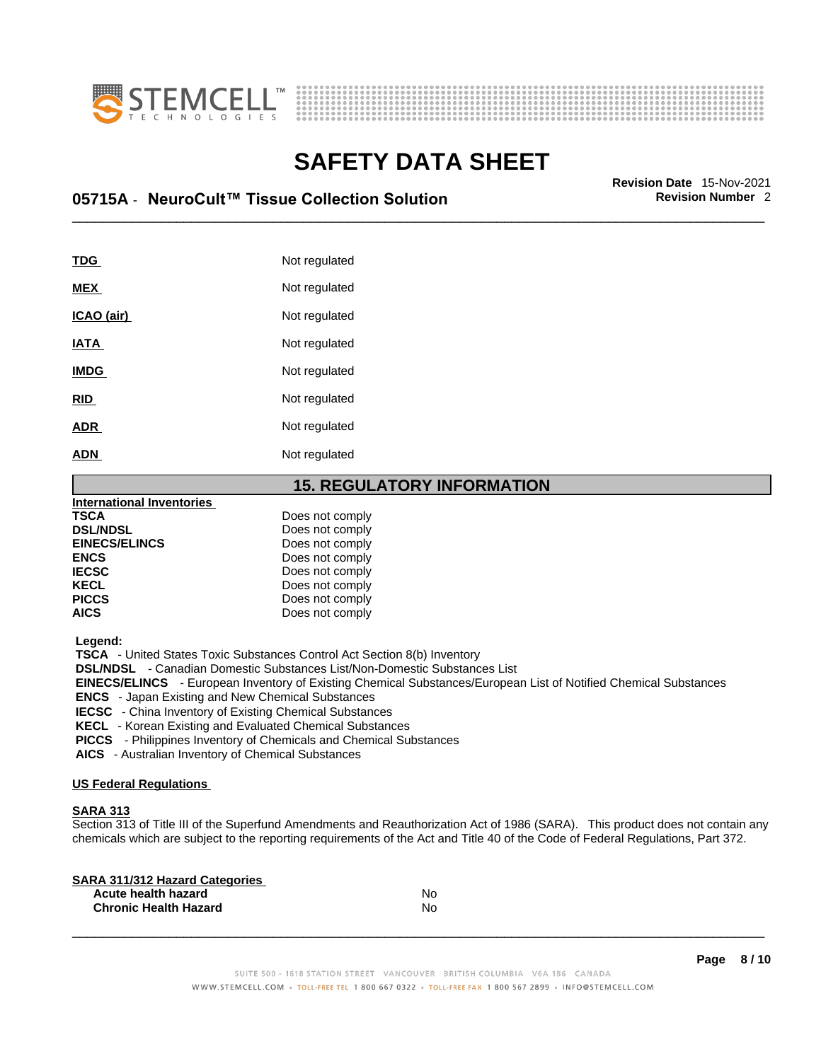



## \_\_\_\_\_\_\_\_\_\_\_\_\_\_\_\_\_\_\_\_\_\_\_\_\_\_\_\_\_\_\_\_\_\_\_\_\_\_\_\_\_\_\_\_\_\_\_\_\_\_\_\_\_\_\_\_\_\_\_\_\_\_\_\_\_\_\_\_\_\_\_\_\_\_\_\_\_\_\_\_\_\_\_\_\_\_\_\_\_\_\_\_\_ **Revision Date** 15-Nov-2021 **05715A** - **NeuroCult™ Tissue Collection Solution Revision Number** 2

| <b>TDG</b>  | Not regulated |
|-------------|---------------|
|             |               |
| <b>MEX</b>  | Not regulated |
| ICAO (air)  | Not regulated |
| <b>IATA</b> | Not regulated |
| <b>IMDG</b> | Not regulated |
| <b>RID</b>  | Not regulated |
| <b>ADR</b>  | Not regulated |
| <b>ADN</b>  | Not regulated |

### **15. REGULATORY INFORMATION**

| International Inventories |                 |  |
|---------------------------|-----------------|--|
| <b>TSCA</b>               | Does not comply |  |
| <b>DSL/NDSL</b>           | Does not comply |  |
| <b>EINECS/ELINCS</b>      | Does not comply |  |
| <b>ENCS</b>               | Does not comply |  |
| <b>IECSC</b>              | Does not comply |  |
| <b>KECL</b>               | Does not comply |  |
| <b>PICCS</b>              | Does not comply |  |
| <b>AICS</b>               | Does not comply |  |
|                           |                 |  |

 **Legend:** 

 **TSCA** - United States Toxic Substances Control Act Section 8(b) Inventory

 **DSL/NDSL** - Canadian Domestic Substances List/Non-Domestic Substances List

 **EINECS/ELINCS** - European Inventory of Existing Chemical Substances/European List of Notified Chemical Substances

 **ENCS** - Japan Existing and New Chemical Substances

 **IECSC** - China Inventory of Existing Chemical Substances

 **KECL** - Korean Existing and Evaluated Chemical Substances

 **PICCS** - Philippines Inventory of Chemicals and Chemical Substances

 **AICS** - Australian Inventory of Chemical Substances

### **US Federal Regulations**

### **SARA 313**

Section 313 of Title III of the Superfund Amendments and Reauthorization Act of 1986 (SARA). This product does not contain any chemicals which are subject to the reporting requirements of the Act and Title 40 of the Code of Federal Regulations, Part 372.

| No |  |
|----|--|
| N٥ |  |
|    |  |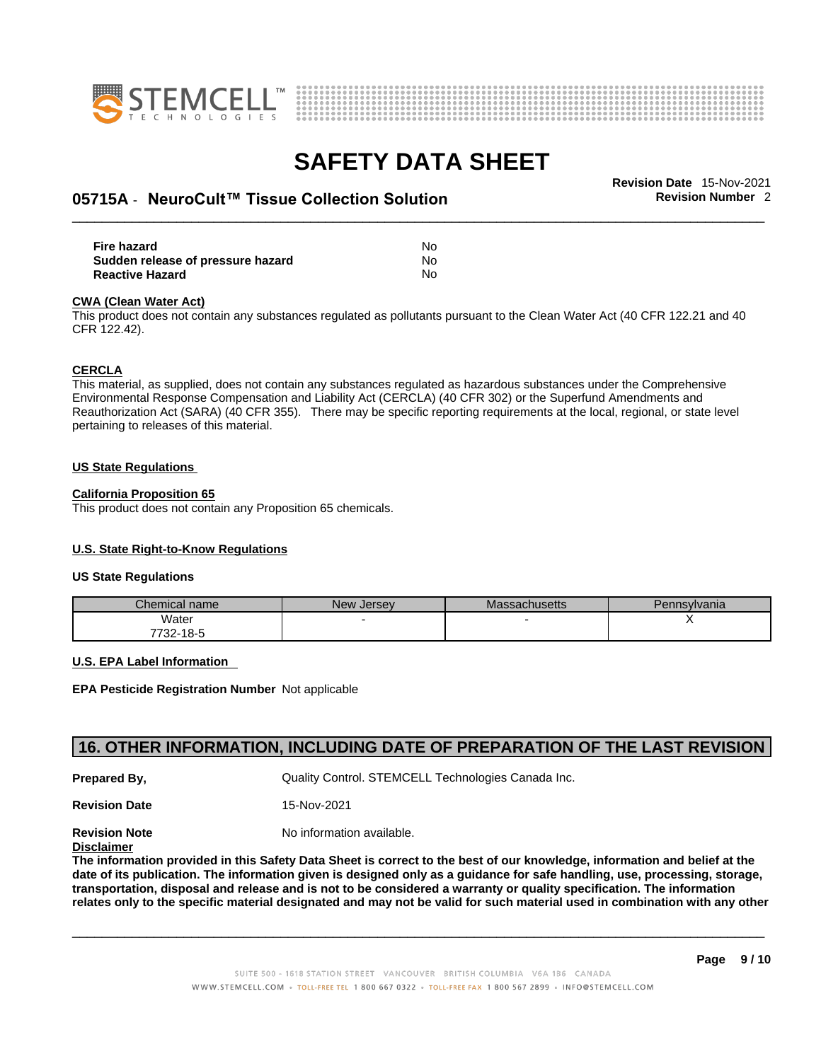



## \_\_\_\_\_\_\_\_\_\_\_\_\_\_\_\_\_\_\_\_\_\_\_\_\_\_\_\_\_\_\_\_\_\_\_\_\_\_\_\_\_\_\_\_\_\_\_\_\_\_\_\_\_\_\_\_\_\_\_\_\_\_\_\_\_\_\_\_\_\_\_\_\_\_\_\_\_\_\_\_\_\_\_\_\_\_\_\_\_\_\_\_\_ **Revision Date** 15-Nov-2021 **05715A** - **NeuroCult™ Tissue Collection Solution Revision Number** 2

| Fire hazard                       | No |
|-----------------------------------|----|
| Sudden release of pressure hazard | No |
| <b>Reactive Hazard</b>            | No |

#### **CWA** (Clean Water Act)

This product does not contain any substances regulated as pollutants pursuant to the Clean Water Act (40 CFR 122.21 and 40 CFR 122.42).

#### **CERCLA**

This material, as supplied, does not contain any substances regulated as hazardous substances under the Comprehensive Environmental Response Compensation and Liability Act (CERCLA) (40 CFR 302) or the Superfund Amendments and Reauthorization Act (SARA) (40 CFR 355). There may be specific reporting requirements at the local, regional, or state level pertaining to releases of this material.

#### **US State Regulations**

### **California Proposition 65**

This product does not contain any Proposition 65 chemicals.

### **U.S. State Right-to-Know Regulations**

#### **US State Regulations**

| Chemical name     | New<br><b>Jersey</b> | <b>Massachusetts</b> | Pennsylvania |
|-------------------|----------------------|----------------------|--------------|
| Water             |                      |                      |              |
| 7700.<br>732-18-5 |                      |                      |              |

#### **U.S. EPA Label Information**

**EPA Pesticide Registration Number** Not applicable

### **16. OTHER INFORMATION, INCLUDING DATE OF PREPARATION OF THE LAST REVISION**

**Prepared By, State Control. STEMCELL Technologies Canada Inc.** Cuality Control. STEMCELL Technologies Canada Inc.

**Revision Date** 15-Nov-2021

**Revision Note** Noinformation available.

### **Disclaimer**

The information provided in this Safety Data Sheet is correct to the best of our knowledge, information and belief at the date of its publication. The information given is designed only as a guidance for safe handling, use, processing, storage, transportation, disposal and release and is not to be considered a warranty or quality specification. The information relates only to the specific material designated and may not be valid for such material used in combination with any other